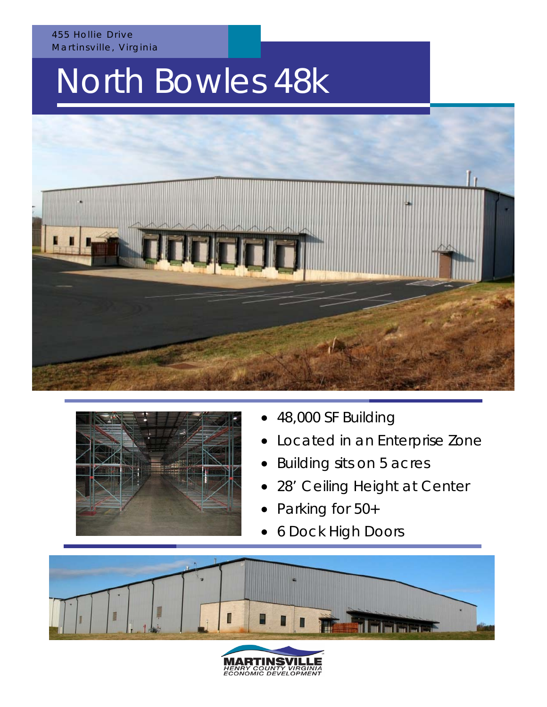#### 455 Hollie Drive Martinsville, Virginia

# North Bowles 48k





- 48,000 SF Building
- Located in an Enterprise Zone
- Building sits on 5 acres
- 28' Ceiling Height at Center
- Parking for 50+
- 6 Dock High Doors